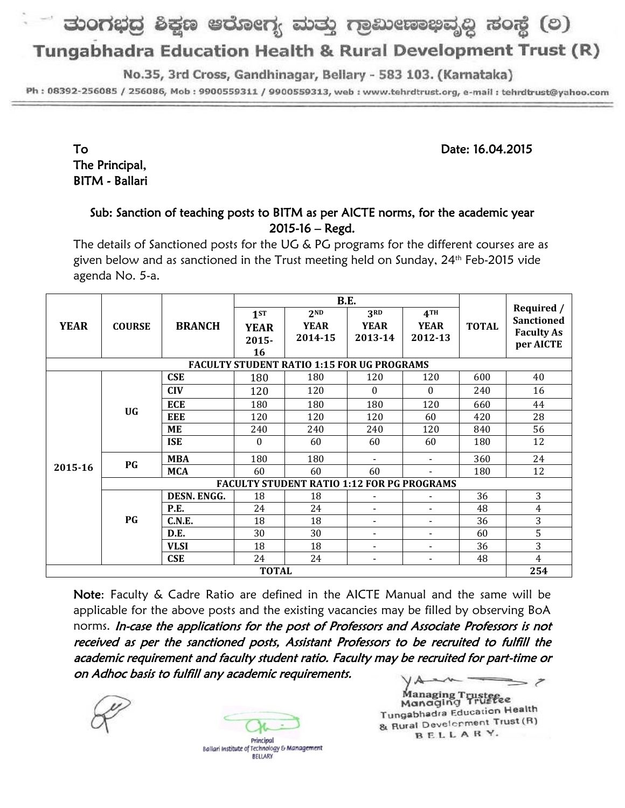# ತುಂಗಭದ್ರ ಶಿಕ್ಷಣ ಆರೋಗ್ಯ ಮತ್ತು ಗ್ರಾಮೀಣಾಭಿವೃದ್ಧಿ ಸಂಸ್ಥೆ (ಲ)

## Tungabhadra Education Health & Rural Development Trust (R)

No.35, 3rd Cross, Gandhinagar, Bellary - 583 103. (Karnataka)

Ph: 08392-256085 / 256086, Mob: 9900559311 / 9900559313, web: www.tehrdtrust.org, e-mail: tehrdtrust@yahoo.com

To Date: 16.04.2015

The Principal, BITM - Ballari

### Sub: Sanction of teaching posts to BITM as per AICTE norms, for the academic year 2015-16 – Regd.

The details of Sanctioned posts for the UG & PG programs for the different courses are as given below and as sanctioned in the Trust meeting held on Sunday, 24<sup>th</sup> Feb-2015 vide agenda No. 5-a.

|                                                   | <b>COURSE</b>                                     | <b>BRANCH</b> | B.E.             |                 |                          |                          |              |                                 |
|---------------------------------------------------|---------------------------------------------------|---------------|------------------|-----------------|--------------------------|--------------------------|--------------|---------------------------------|
| <b>YEAR</b>                                       |                                                   |               | 1st              | 2 <sub>ND</sub> | 3 <sub>RD</sub>          | 4TH                      | <b>TOTAL</b> | Required /<br><b>Sanctioned</b> |
|                                                   |                                                   |               | <b>YEAR</b>      | <b>YEAR</b>     | <b>YEAR</b>              | <b>YEAR</b>              |              |                                 |
|                                                   |                                                   |               | $2015 -$         | 2014-15         | 2013-14                  | 2012-13                  |              | <b>Faculty As</b><br>per AICTE  |
|                                                   |                                                   |               | 16               |                 |                          |                          |              |                                 |
| <b>FACULTY STUDENT RATIO 1:15 FOR UG PROGRAMS</b> |                                                   |               |                  |                 |                          |                          |              |                                 |
| 2015-16                                           | <b>UG</b>                                         | <b>CSE</b>    | 180              | 180             | 120                      | 120                      | 600          | 40                              |
|                                                   |                                                   | <b>CIV</b>    | 120              | 120             | $\theta$                 | $\Omega$                 | 240          | 16                              |
|                                                   |                                                   | <b>ECE</b>    | 180              | 180             | 180                      | 120                      | 660          | 44                              |
|                                                   |                                                   | <b>EEE</b>    | 120              | 120             | 120                      | 60                       | 420          | 28                              |
|                                                   |                                                   | <b>ME</b>     | 240              | 240             | 240                      | 120                      | 840          | 56                              |
|                                                   |                                                   | <b>ISE</b>    | $\boldsymbol{0}$ | 60              | 60                       | 60                       | 180          | 12                              |
|                                                   | PG                                                | <b>MBA</b>    | 180              | 180             |                          |                          | 360          | 24                              |
|                                                   |                                                   | <b>MCA</b>    | 60               | 60              | 60                       |                          | 180          | 12                              |
|                                                   | <b>FACULTY STUDENT RATIO 1:12 FOR PG PROGRAMS</b> |               |                  |                 |                          |                          |              |                                 |
|                                                   | PG                                                | DESN. ENGG.   | 18               | 18              | $\overline{\phantom{0}}$ |                          | 36           | 3                               |
|                                                   |                                                   | P.E.          | 24               | 24              | $\overline{\phantom{a}}$ | $\blacksquare$           | 48           | 4                               |
|                                                   |                                                   | C.N.E.        | 18               | 18              | $\overline{\phantom{a}}$ | $\blacksquare$           | 36           | 3                               |
|                                                   |                                                   | D.E.          | 30               | 30              | $\overline{\phantom{0}}$ | $\blacksquare$           | 60           | 5                               |
|                                                   |                                                   | <b>VLSI</b>   | 18               | 18              | $\overline{\phantom{a}}$ | $\blacksquare$           | 36           | 3                               |
|                                                   |                                                   | <b>CSE</b>    | 24               | 24              | $\overline{\phantom{a}}$ | $\overline{\phantom{a}}$ | 48           | $\overline{4}$                  |
| <b>TOTAL</b>                                      |                                                   |               |                  |                 |                          |                          |              | 254                             |

Note: Faculty & Cadre Ratio are defined in the AICTE Manual and the same will be applicable for the above posts and the existing vacancies may be filled by observing BoA norms. In-case the applications for the post of Professors and Associate Professors is not received as per the sanctioned posts, Assistant Professors to be recruited to fulfill the academic requirement and faculty student ratio. Faculty may be recruited for part-time or on Adhoc basis to fulfill any academic requirements.





Ballari Institute of Technology & Management **BELLARY** 

Managing Trusteeee Tungabhadra Education Health & Rural Development Trust (R) BELLARY.